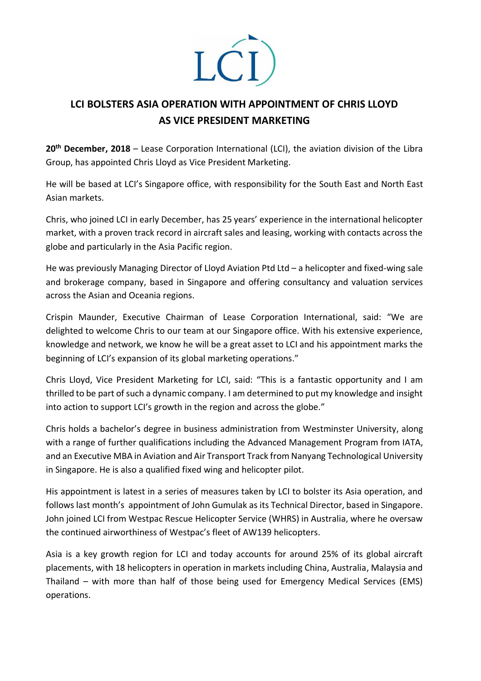

## **LCI BOLSTERS ASIA OPERATION WITH APPOINTMENT OF CHRIS LLOYD AS VICE PRESIDENT MARKETING**

**20th December, 2018** – Lease Corporation International (LCI), the aviation division of the Libra Group, has appointed Chris Lloyd as Vice President Marketing.

He will be based at LCI's Singapore office, with responsibility for the South East and North East Asian markets.

Chris, who joined LCI in early December, has 25 years' experience in the international helicopter market, with a proven track record in aircraft sales and leasing, working with contacts across the globe and particularly in the Asia Pacific region.

He was previously Managing Director of Lloyd Aviation Ptd Ltd – a helicopter and fixed-wing sale and brokerage company, based in Singapore and offering consultancy and valuation services across the Asian and Oceania regions.

Crispin Maunder, Executive Chairman of Lease Corporation International, said: "We are delighted to welcome Chris to our team at our Singapore office. With his extensive experience, knowledge and network, we know he will be a great asset to LCI and his appointment marks the beginning of LCI's expansion of its global marketing operations."

Chris Lloyd, Vice President Marketing for LCI, said: "This is a fantastic opportunity and I am thrilled to be part of such a dynamic company. I am determined to put my knowledge and insight into action to support LCI's growth in the region and across the globe."

Chris holds a bachelor's degree in business administration from Westminster University, along with a range of further qualifications including the Advanced Management Program from IATA, and an Executive MBA in Aviation and Air Transport Track from Nanyang Technological University in Singapore. He is also a qualified fixed wing and helicopter pilot.

His appointment is latest in a series of measures taken by LCI to bolster its Asia operation, and follows last month's appointment of John Gumulak as its Technical Director, based in Singapore. John joined LCI from Westpac Rescue Helicopter Service (WHRS) in Australia, where he oversaw the continued airworthiness of Westpac's fleet of AW139 helicopters.

Asia is a key growth region for LCI and today accounts for around 25% of its global aircraft placements, with 18 helicopters in operation in markets including China, Australia, Malaysia and Thailand – with more than half of those being used for Emergency Medical Services (EMS) operations.